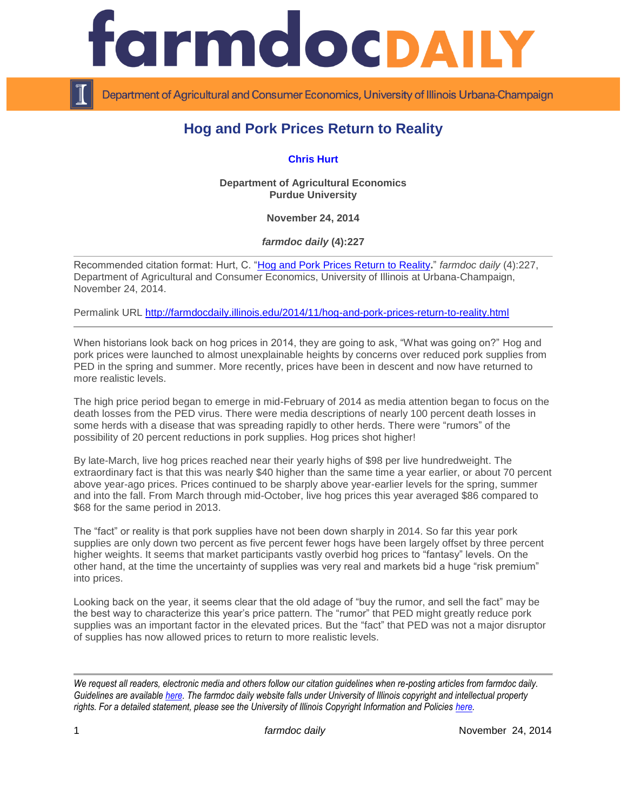

Department of Agricultural and Consumer Economics, University of Illinois Urbana-Champaign

## **Hog and Pork Prices Return to Reality**

**[Chris Hurt](https://ag.purdue.edu/agecon/Pages/Profile.aspx?strAlias=hurtc)**

**Department of Agricultural Economics Purdue University**

**November 24, 2014**

*farmdoc daily* **(4):227**

Recommended citation format: Hurt, C. ["Hog and Pork Prices Return to Reality](http://farmdocdaily.illinois.edu/2014/11/hog-and-pork-prices-return-to-reality.html)**.**" *farmdoc daily* (4):227, Department of Agricultural and Consumer Economics, University of Illinois at Urbana-Champaign, November 24, 2014.

Permalink URL<http://farmdocdaily.illinois.edu/2014/11/hog-and-pork-prices-return-to-reality.html>

When historians look back on hog prices in 2014, they are going to ask, "What was going on?" Hog and pork prices were launched to almost unexplainable heights by concerns over reduced pork supplies from PED in the spring and summer. More recently, prices have been in descent and now have returned to more realistic levels.

The high price period began to emerge in mid-February of 2014 as media attention began to focus on the death losses from the PED virus. There were media descriptions of nearly 100 percent death losses in some herds with a disease that was spreading rapidly to other herds. There were "rumors" of the possibility of 20 percent reductions in pork supplies. Hog prices shot higher!

By late-March, live hog prices reached near their yearly highs of \$98 per live hundredweight. The extraordinary fact is that this was nearly \$40 higher than the same time a year earlier, or about 70 percent above year-ago prices. Prices continued to be sharply above year-earlier levels for the spring, summer and into the fall. From March through mid-October, live hog prices this year averaged \$86 compared to \$68 for the same period in 2013.

The "fact" or reality is that pork supplies have not been down sharply in 2014. So far this year pork supplies are only down two percent as five percent fewer hogs have been largely offset by three percent higher weights. It seems that market participants vastly overbid hog prices to "fantasy" levels. On the other hand, at the time the uncertainty of supplies was very real and markets bid a huge "risk premium" into prices.

Looking back on the year, it seems clear that the old adage of "buy the rumor, and sell the fact" may be the best way to characterize this year's price pattern. The "rumor" that PED might greatly reduce pork supplies was an important factor in the elevated prices. But the "fact" that PED was not a major disruptor of supplies has now allowed prices to return to more realistic levels.

*We request all readers, electronic media and others follow our citation guidelines when re-posting articles from farmdoc daily. Guidelines are available [here.](http://farmdocdaily.illinois.edu/citationguide.html) The farmdoc daily website falls under University of Illinois copyright and intellectual property rights. For a detailed statement, please see the University of Illinois Copyright Information and Policies [here.](http://www.cio.illinois.edu/policies/copyright/)*